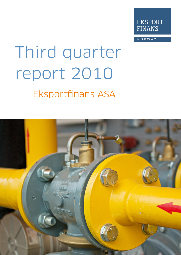

NORWAY

# Third quarter report 2010 **Eksportfinans ASA**

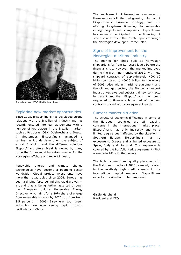

President and CEO Gisèle Marchand

#### Exploring new market opportunities

Since 2008, Eksportfinans has developed strong relations with the Brazilian oil industry and has recently entered into loan agreements with a number of key players in the Brazilian market, such as Petrobras, OSX, Odebrecht and Etesco. In September, Eksportfinans arranged a seminar in Rio de Janeiro on the subject of export financing and the different solutions Eksportfinans offers. Brazil is viewed by many to be the future most important market for the Norwegian offshore and export industry.

Renewable energy and climate change technologies have become a booming sector worldwide: Global project investments have more than quadrupled since 2004. Europe has been a driving force behind this rapid growth a trend that is being further asserted through the European Union's Renewable Energy Directive, which aims for a 20% share of energy from renewable sources by 2020, up from from 8.5 percent in 2005. Elsewhere, too, green industries are now seeing rapid growth, particularly in China.

The involvement of Norwegian companies in these sectors is limited but growing. As part of Eksportfinans' business strategy, we are offering long-term financing to renewable energy projects and companies. Eksportfinans has recently participated in the financing of seven solar farms in the Czech Republic through the Norwegian developer Scatec Solar.

#### Signs of improvement for the Norwegian maritime industry

The market for ships built at Norwegian shipyards is far from its record levels before the financial crisis. However, the market improved during the first nine months of 2010, with new shipyard contracts of approximately NOK 10 billion compared to NOK 3 billion for the whole of 2009. Also within maritime equipment and the oil and gas sector, the Norwegian export industry was awarded substantial new contracts in recent months. Eksportfinans has been requested to finance a large part of the new contracts placed with Norwegian shipyards.

#### Current market situation

The structural economic difficulties in some of the European countries are still causing concerns in the international market place. Eksportfinans has only indirectly and to a limited degree been affected by the situation in Southern Europe. Eksportfinans has no exposure to Greece and a limited exposure to Spain, Italy and Portugal. This exposure is covered by the Portfolio Hedge Agreement (PHA – see note 14) with the owners.

The high income from liquidity placements in the first nine months of 2010 is mainly related to the relatively high credit spreads in the international capital markets. Eksportfinans expects this situation to be temporary.

Gisèle Marchand President and CEO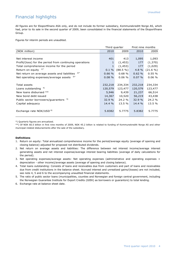## Financial highlights

All figures are for Eksportfinans ASA only, and do not include its former subsidiary, Kommunekreditt Norge AS, which had, prior to its sale in the second quarter of 2009, been consolidated in the financial statements of the Eksportfinans Group.

Figures for interim periods are unaudited.

|                                                         | Third quarter |             | First nine months |             |
|---------------------------------------------------------|---------------|-------------|-------------------|-------------|
| (NOK million)                                           | 2010          | 2009        | 2010              | 2009        |
|                                                         |               |             |                   |             |
| Net interest income                                     | 401           | 413         | 1,095             | 1,093       |
| Profit/(loss) for the period from continuing operations | $\mathbf{1}$  | (1, 453)    | 177               | (1,370)     |
| Total comprehensive income for the period               | $\mathbf{1}$  | (1, 453)    | 177               | (1,029)     |
| Return on equity $1)^*$                                 | $0.1 \%$      | $(88.5\% )$ | $4.8 \%$          | $(21.6\% )$ |
| Net return on average assets and liabilities $2^*$      | 0.66%         | 0.68%       | 0.62%             | 0.55%       |
| Net operating expenses/average assets $3^*$             | $0.08 \%$     | 0.06%       | $0.07 \%$         | 0.06%       |
|                                                         |               |             |                   |             |
| Total assets                                            | 232,218       | 234,334     | 232,218           | 234,334     |
| Loans outstanding <sup>4)</sup>                         | 120,579       | 123,477     | 120,579           | 123,477     |
| New loans disbursed **                                  | 5,946         | 9,439       | 21,237            | 66,514      |
| New bond debt issued                                    | 14,367        | 10,520      | 56,219            | 43,438      |
| Public sector borrowers/guarantors 5)                   | 32.9 %        | 24.2%       | 32.9%             | 24.2 %      |
| Capital adequacy                                        | 14.4 %        | 13.5 %      | $14.4 \%$         | 13.5 %      |
|                                                         |               |             |                   |             |
| Exchange rate NOK/USD <sup>6)</sup>                     | 5.8382        | 5.7775      | 5.8382            | 5.7775      |
|                                                         |               |             |                   |             |

\*) Quarterly figures are annualized.

\*\*) Of NOK 66.5 billion in first nine months of 2009, NOK 45.2 billion is related to funding of Kommunekreditt Norge AS and other municipal-related disbursements after the sale of the subsidiary.

#### **Definitions**

- 1. Return on equity: Total annualized comprehensive income for the period/average equity (average of opening and closing balance) adjusted for proposed not distributed dividends.
- 2. Net return on average assets and liabilities: The difference between net interest income/average interest generating assets and net interest expense/average interest bearing liabilities (average of daily calculations for the period).
- 3. Net operating expenses/average assets: Net operating expenses (administrative and operating expenses + depreciation - other income)/average assets (average of opening and closing balance).
- 4. Total loans outstanding: Consists of loans and receivables due from customers and part of loans and receivables due from credit institutions in the balance sheet. Accrued interest and unrealized gains/(losses) are not included, see note 4, 5 and 6 to the accompanying unaudited financial statements.
- 5. The ratio of public sector loans (municipalities, counties and Norwegian and foreign central government, including the Norwegian Guarantee Institute for Export Credits (GIEK) as borrowers or guarantors) to total lending.
- 6. Exchange rate at balance sheet date.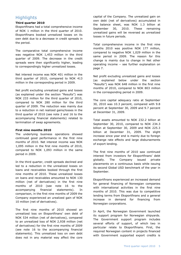## **Highlights**

#### **Third quarter 2010**

Eksportfinans had a total comprehensive income of NOK 1 million in the third quarter of 2010. Eksportfinans booked unrealized losses on its own debt due to a decrease in credit spreads in the period.

The comparative total comprehensive income was negative NOK 1,453 million in the third quarter of 2009. The decrease in the credit spreads were then significantly higher, leading to correspondingly higher unrealized losses.

Net interest income was NOK 401 million in the third quarter of 2010, compared to NOK 413 million in the corresponding period in 2009.

Net profit excluding unrealized gains and losses (as explained under the section "Results") was NOK 233 million for the third quarter of 2010, compared to NOK 280 million for the third quarter of 2009. The reduction was mainly due to a reduction in net realized gains/losses in the third quarter of 2010 (see note 2 and 16 to the accompanying financial statements) related to termination of swap agreements.

#### **First nine months 2010**

The underlying business operations showed continued good performance in the first nine months of 2010. Net interest income was NOK 1,095 million in the first nine months of 2010, compared to NOK 1,093 million in the same period in 2009.

In the third quarter, credit spreads declined and led to a reduction in the unrealized losses on loans and receivables booked through the first nine months of 2010. These unrealized losses on loans and receivables amounted to NOK 130 million (net of derivatives) in the first nine months of 2010 (see note 16 to the accompanying financial statements). In comparison, in the first nine months of 2009 the Company experienced an urealized gain of NOK 10 million (net of derivatives).

The first nine months of 2010 showed an unrealized loss on Eksportfinans' own debt of NOK 534 million (net of derivatives), compared to an unrealized loss of NOK 2,938 million (net of derivatives) for the first nine months of 2009 (see note 16 to the accompanying financial statements). This unrealized loss on own debt does not in any material way affect the core

capital of the Company. The unrealized gain on own debt (net of derivatives) accumulated in the balance sheet, was NOK 1.3 billion at September 30, 2010. These remaining unrealized gains will be reversed as unrealized losses in future periods.

Total comprehensive income in the first nine months 2010 was positive NOK 177 million, compared to negative NOK 1,029 million in the same period in 2009. The reason for this change is mainly due to change in Net other operating income – see further explanation on page 7.

Net profit excluding unrealized gains and losses (as explained below under the section "Results") was NOK 648 million in the first nine months of 2010, compared to NOK 803 million in the corresponding period in 2009.

The core capital adequacy ratio at September 30, 2010 was 10.3 percent, compared with 9.8 percent at September 30, 2009 and 9.7 percent at December 31, 2009.

Total assets amounted to NOK 232.2 billion at September 30, 2010, compared to NOK 234.3 billion at September 30, 2009 and NOK 225.3 billion at December 31, 2009. The slight increase since year end is mainly due to foreign exchange rate effects and large disbursements of export lending.

The first nine months of 2010 saw continued interest from investors for Eksportfinans' debt globally. The Company issued private placements on a continuous basis while issuing its second Global USD benchmark of the year in September.

Eksportfinans experienced an increased demand for general financing of Norwegian companies with international activities in the first nine months of 2010. This was due to competitive lending terms from Eksportfinans and a general increase in demand for financing from Norwegian corporations.

In April, the Norwegian Government launched its support program for Norwegian shipyards. The Government support program includes several efforts of support, of which two in particular relate to Eksportfinans. First, the required Norwegian content in projects financed with Government supported export credits is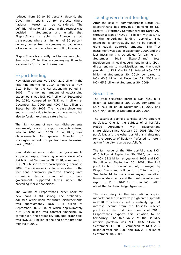reduced from 50 to 30 percent. Second, the Government opens up for projects where national interest can be considered. The definition of national interest in this respect was decided in September and entails that Eksportfinans is able to finance export transactions where a minimum of 30 percent delivery comes from a company abroad where a Norwegian company has controlling interests.

Eksportfinans is currently part to two law suits. See note 17 to the accompanying financial statements for further information.

#### Export lending

New disbursements were NOK 21.2 billion in the first nine months of 2010, compared to NOK 21.3 billion for the corresponding period in 2009. The nominal amount of outstanding export loans was NOK 92.7 billion at September 30, 2010, compared to NOK 81.4 billion at December 31, 2009 and NOK 78.1 billion at September 30, 2009. The increase since year end is primarily due to large disbursements, but also to foreign exchange rate effects.

The high volume of new loan disbursements was mainly related to export contracts entered into in 2008 and 2009. In addition, new disbursements for general financing of Norwegian export companies have increased during 2010.

New disbursements under the governmentsupported export financing scheme were NOK 2.4 billion at September 30, 2010, compared to NOK 9.3 billion in the corresponding period in 2009. The decrease in volume was due to the fact that borrowers preferred floating rate commercial terms instead of fixed rate government supported terms under the prevailing market conditions.

The volume of Eksportfinans' order book for new loans is still strong. The probabilityadjusted order book for future disbursements was approximately NOK 30.3 billion at September 30, 2010, of which approximately NOK 26.9 billion was contract financing. By comparison, the probability-adjusted order book was NOK 30.5 billion at the end of the first nine months of 2009.

#### Local government lending

After the sale of Kommunekreditt Norge AS, Eksportfinans has provided financing to KLP Kreditt AS (formerly Kommunekreditt Norge AS) through a loan of NOK 34.4 billion with security in the underlying lending portfolio. This financing is contractually set to be repaid in eight equal, quarterly amounts. The first installment was paid in December 2009, and the last installment is scheduled for payment in September 2011. Eksportfinans' total involvement in local government lending (both direct lending to municipalities and the credit provided to KLP Kreditt AS) totaled NOK 27.9 billion at September 30, 2010, compared to NOK 40.8 billion at December 31, 2009 and NOK 45.3 billion at September 30, 2009.

#### **Securities**

The total securities portfolio was NOK 83.1 billion at September 30, 2010, compared to NOK 76.1 billion at December 31, 2009 and NOK 79.4 billion at September 30, 2009.

The securities portfolio consists of two different portfolios. One is the subject of a Portfolio Hedge Agreement with Eksportfinans shareholders since February 29, 2008 (the PHA portfolio), and the other portfolio is maintained for the purpose of liquidity (referred to herein as the "liquidity reserve portfolio").

The fair value of the PHA portfolio was NOK 42.5 billion at September 30, 2010, compared to NOK 52.2 billion at year-end 2009 and NOK 56 billion at September 30, 2009. The PHA portfolio is no longer actively managed by Eksportfinans and will be run off to maturity. See Note 14 to the accompanying unaudited financial statements and the most recent annual report on Form 20-F for further information about the Portfolio Hedge Agreement.

The uncertainty in the international capital markets has led to relatively high credit spreads in 2010. This has also led to relatively high net interest income from the liquidity reserve portfolio in the first nine months of 2010. Eksportfinans expects this situation to be temporary. The fair value of the liquidity reserve portfolio was NOK 40.6 billion at September 30, 2010, compared to NOK 23.9 billion at year-end 2009 and NOK 23.4 billion at September 30, 2009.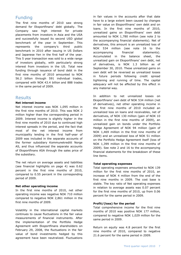#### Funding

The first nine months of 2010 saw strong demand for Eksportfinans' debt globally. The Company saw high interest for private placements from investors in Asia and the USA and successfully issued its second USD global benchmark of the year in September. This represents the company's third public benchmark in 2010 after issuing in US Dollars and Japanese Yen in the first half of the year. This 5 year transaction was sold to a wide range of investors globally, with particularly strong interest from investors in the US. Total new funding through issuance of bond debt in the first nine months of 2010 amounted to NOK 56.2 billion through 591 individual trades, compared with NOK 43.4 billion and 888 trades in the same period of 2009.

#### Results

#### **Net interest income**

Net interest income was NOK 1,095 million in the first nine months of 2010. This was NOK 2 million higher than the corresponding period in 2009. Interest income is slightly higher in the first nine months of 2010 due to continued high interest spreads in the period, and the fact that most of the net interest income from municipality lending in the first half-year of 2009 was included in the separate accounts of the former subsidiary Kommunekreditt Norge AS, and thus influenced the separate accounts of Eksportfinans ASA through the sales price of the subsidiary.

The net return on average assets and liabilities (see financial highlights on page 4) was 0.62 percent in the first nine months of 2010, compared to 0.55 percent in the corresponding period of 2009.

#### **Net other operating income**

In the first nine months of 2010, net other operating income was negative NOK 710 million compared to negative NOK 2,861 million in the first nine months of 2009.

Volatility in the international capital markets continues to cause fluctuations in the fair value measurements of financial instruments. After the implementation of the Portfolio Hedge Agreement with Eksportfinans shareholders on February 29, 2008, the fluctuations in the fair value of bond investments hedged by this agreement have been neutralized. Fluctuations

in fair values in the accounts after that date have to a large extent been caused by changes in fair value on Eksportfinans' own debt and on loans. In the first nine months of 2010, unrealized gains on Eksportfinans' own debt amounted to NOK 1,780 million (see note 2 to the accompanying financial statements). Net of derivatives, this amount is an unrealized loss of NOK 534 million (see note 16 to the accompanying financial statements). Accumulated in the balance sheet, the unrealized gain on Eksportfinans' own debt, net of derivatives, is NOK 1.3 billion as of September 30, 2010. These unrealized gains on own debt will be reversed as unrealized losses in future periods following credit spread tightening and running of time. The capital adequacy will not be affected by this effect in any material way.

In addition to net unrealized losses on Eksportfinans' own debt of NOK 534 million (net of derivatives), net other operating income in the first nine months of 2010 included an unrealized loss on loans and receivables, net of derivatives, of NOK 130 million (gain of NOK 10 million in the first nine months of 2009), an unrealized gain on bonds under the Portfolio Hedge Agreement of NOK 94 million (gain of NOK 1,469 million in the first nine months of 2009) and an unrealized loss of NOK 51 million on the Portfolio Hedge Agreement itself (loss of NOK 1,399 million in the first nine months of 2009). See note 2 and 16 to the accompanying financial statements for the breakdown of these line items.

#### **Total operating expenses**

Total operating expenses amounted to NOK 139 million for the first nine months of 2010, an increase of NOK 4 million from the end of the first nine months in 2009. The cost base is stable. The key ratio of Net operating expenses in relation to average assets was 0.07 percent for the first nine months of 2010, up from 0.06 percent for the same period in 2009.

#### **Profit/(loss) for the period**

Total comprehensive income for the first nine months of 2010 was positive NOK 177 million, compared to negative NOK 1,029 million for the same period in 2009.

Return on equity was 4.8 percent for the first nine months of 2010, compared to negative 21.6 percent for the same period in 2009.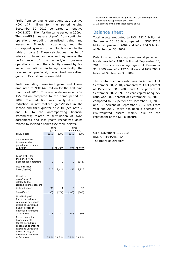Profit from continuing operations was positive NOK 177 million for the period ending September 30, 2010, compared to negative NOK 1,370 million for the same period in 2009. The non-IFRS measure of profit from continuing operations excluding unrealized gains and losses on financial instruments, and the corresponding return on equity, is shown in the table on page 8. These calculations may be of interest to investors because they assess the performance of the underlying business operations without the volatility caused by fair value fluctuations, including specifically the reversal of previously recognized unrealized gains on Eksportfinans' own debt.

Profit excluding unrealized gains and losses amounted to NOK 648 million for the first nine months of 2010. This was a decrease of NOK 155 million compared to the same period of 2009. The reduction was mainly due to a reduction in net realized gains/losses in the second and third quarter of 2010 (see note 2 and 16 to the accompanying financial statements) related to termination of swap agreements and last year's recognized gains related to Icelandic banks (see table below).

| 2009<br>(1, 453) | nine months<br>2010<br>177 | 2009<br>(1,029) |
|------------------|----------------------------|-----------------|
|                  |                            |                 |
|                  |                            |                 |
|                  |                            |                 |
|                  |                            |                 |
| 0                | 0                          | (341)           |
| 2,411            | 655                        | 2,926           |
| 4                | 0                          | 92              |
|                  |                            | (845)           |
| 280              | 648                        | 803             |
|                  |                            |                 |
|                  | (674)                      | (183)           |

1) Reversal of previously recognized loss (at exchange rates applicable at September 30, 2010)

2) 28 percent of the unrealized items above

#### Balance sheet

Total assets amounted to NOK 232.2 billion at September 30, 2010, compared to NOK 225.3 billion at year-end 2009 and NOK 234.3 billion at September 30, 2009.

Debt incurred by issuing commercial paper and bonds was NOK 198.1 billion at September 30, 2010. The corresponding figure at December 31, 2009 was NOK 197.6 billion and NOK 200.1 billion at September 30, 2009.

The capital adequacy ratio was 14.4 percent at September 30, 2010, compared to 13.3 percent at December 31, 2009 and 13.5 percent at September 30, 2009. The core capital adequacy ratio was 10.3 percent at September 30, 2010, compared to 9.7 percent at December 31, 2009 and 9.8 percent at September 30, 2009. From year-end 2009, there has been a decrease in risk-weighted assets mainly due to the repayment of the KLP exposure.

Oslo, November 11, 2010 EKSPORTFINANS ASA The Board of Directors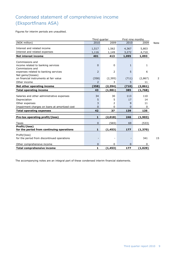# Condensed statement of comprehensive income (Eksportfinans ASA)

Figures for interim periods are unaudited.

|                                               | Third quarter  |                |              | First nine months |             |  |
|-----------------------------------------------|----------------|----------------|--------------|-------------------|-------------|--|
| (NOK million)                                 | 2010           | 2009           | 2010         | 2009              | <b>Note</b> |  |
| Interest and related income                   | 1,517          | 1,562          | 4,367        | 5,803             |             |  |
| Interest and related expenses                 | 1,116          | 1,149          | 3,272        | 4,710             |             |  |
| <b>Net interest income</b>                    | 401            | 413            | 1,095        | 1,093             |             |  |
|                                               |                |                |              |                   |             |  |
| Commissions and                               |                |                |              |                   |             |  |
| income related to banking services            | $\Omega$       | $\mathbf{0}$   | $\mathbf{1}$ | $\mathbf{1}$      |             |  |
| Commissions and                               |                |                |              |                   |             |  |
| expenses related to banking services          | 2              | $\overline{2}$ | 5            | 6                 |             |  |
| Net gains/(losses)                            |                |                |              |                   |             |  |
| on financial instruments at fair value        | (358)          | (2, 395)       | (711)        | (2,867)           | 2           |  |
| Other income                                  | $\overline{2}$ | 3              | 5            | 11                |             |  |
| Net other operating income                    | (358)          | (2, 394)       | (710)        | (2,861)           |             |  |
| <b>Total operating income</b>                 | 43             | (1,981)        | 385          | (1,768)           |             |  |
| Salaries and other administrative expenses    | 34             | 30             | 113          | 110               |             |  |
| Depreciation                                  | 5              | 5              | 17           | 14                |             |  |
| Other expenses                                | 3              | 2              | 9            | 11                |             |  |
| Impairment charges on loans at amortized cost | $\Omega$       | 0              | 0            | 0                 |             |  |
| <b>Total operating expenses</b>               | 42             | 37             | 139          | 135               |             |  |
|                                               |                |                |              |                   |             |  |
| Pre-tax operating profit/(loss)               | $\mathbf{1}$   | (2,018)        | 246          | (1,903)           |             |  |
| <b>Taxes</b>                                  | $\overline{0}$ | (565)          | 69           | (533)             |             |  |
| Profit/(loss)                                 |                |                |              |                   |             |  |
| for the period from continuing operations     | 1              | (1, 453)       | 177          | (1, 370)          |             |  |
| Profit/(loss)                                 |                |                |              |                   |             |  |
| for the period from discontinued operations   |                |                |              | 341               | 15          |  |
| Other comprehensive income                    | $\overline{0}$ | $\Omega$       | $\Omega$     | $\Omega$          |             |  |
| <b>Total comprehensive income</b>             | 1              | (1, 453)       | 177          | (1,029)           |             |  |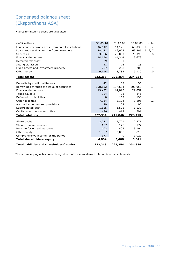# Condensed balance sheet (Eksportfinans ASA)

Figures for interim periods are unaudited.

| (NOK million)                                      | 30.09.10 | 31.12.09 | 30.09.09 | Note    |
|----------------------------------------------------|----------|----------|----------|---------|
| Loans and receivables due from credit institutions | 46,642   | 64,126   | 68,035   | 4, 6, 7 |
| Loans and receivables due from customers           | 78,471   | 66,677   | 63,866   | 5, 6, 7 |
| Securities                                         | 83,076   | 76,090   | 79,396   | 8       |
| <b>Financial derivatives</b>                       | 14,658   | 14,344   | 13,673   |         |
| Deferred tax asset                                 | 29       | 0        | 0        |         |
| Intangible assets                                  | 21       | 26       | 25       |         |
| Fixed assets and investment property               | 207      | 208      | 209      | 9       |
| Other assets                                       | 9,114    | 3,783    | 9,130    | 10      |
| <b>Total assets</b>                                | 232,218  | 225,254  | 234,334  |         |
|                                                    |          |          |          |         |
| Deposits by credit institutions                    | 42       | 38       | 35       |         |
| Borrowings through the issue of securities         | 198,132  | 197,634  | 200,050  | 11      |
| Financial derivatives                              | 19,492   | 14,810   | 22,057   |         |
| Taxes payable                                      | 254      | 73       | 341      |         |
| Deferred tax liabilities                           | $\Omega$ | 157      | 193      |         |
| Other liabilities                                  | 7,234    | 5,124    | 3,806    | 12      |
| Accrued expenses and provisions                    | 99       | 89       | 90       |         |
| Subordinated debt                                  | 1,655    | 1,502    | 1,530    |         |
| Capital contribution securities                    | 426      | 419      | 391      |         |
| <b>Total liabilities</b>                           | 227,334  | 219,846  | 228,493  |         |
|                                                    |          |          |          |         |
| Share capital                                      | 2,771    | 2,771    | 2,771    |         |
| Share premium reserve                              | 177      | 177      | 177      |         |
| Reserve for unrealized gains                       | 403      | 403      | 3,104    |         |
| Other equity                                       | 1,357    | 2,057    | 818      |         |
| Comprehensive income for the period                | 177      | 0        | (1,029)  |         |
| <b>Total shareholders' equity</b>                  | 4,884    | 5,408    | 5,841    |         |
| Total liabilities and shareholders' equity         | 232,218  | 225,254  | 234,334  |         |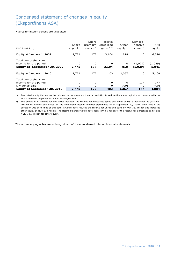# Condensed statement of changes in equity (Eksportfinans ASA)

Figures for interim periods are unaudited.

|                              |                 | Share                 | Reserve      |            | Compre-    |         |
|------------------------------|-----------------|-----------------------|--------------|------------|------------|---------|
|                              | Share           | premium               | unrealized   | Other      | hensive    | Total   |
| (NOK million)                | capital $^{1)}$ | reserve <sup>1)</sup> | gains $1, 2$ | equity $2$ | income $2$ | equity  |
|                              |                 |                       |              |            |            |         |
| Equity at January 1, 2009    | 2,771           | 177                   | 3,104        | 818        | 0          | 6,870   |
|                              |                 |                       |              |            |            |         |
| Total comprehensive          |                 |                       |              |            |            |         |
| income for the period        | 0               | 0                     | 0            | 0          | (1,029)    | (1,029) |
| Equity at September 30, 2009 | 2,771           | 177                   | 3,104        | 818        | (1,029)    | 5,841   |
|                              |                 |                       |              |            |            |         |
| Equity at January 1, 2010    | 2,771           | 177                   | 403          | 2,057      | 0          | 5,408   |
|                              |                 |                       |              |            |            |         |
| Total comprehensive          |                 |                       |              |            |            |         |
| income for the period        | 0               | 0                     | 0            | 0          | 177        | 177     |
| Dividends paid               | 0               | 0                     | O            | (700)      | 0          | (700)   |
| Equity at September 30, 2010 | 2,771           | 177                   | 403          | 1,357      | 177        | 4,884   |

1) Restricted equity that cannot be paid out to the owners without a resolution to reduce the share capital in accordance with the Public Limited Companies Act under Norwegian law.

2) The allocation of income for the period between the reserve for unrealized gains and other equity is performed at year-end. Preliminary calculations based on the condensed interim financial statements as of September 30, 2010, show that if the allocation was performed at this date, it would have reduced the reserve for unrealized gains by NOK 337 million and increased other equity by NOK 514 million. The closing balances would have been NOK 66 million for the reserve for unrealized gains, and NOK 1,871 million for other equity.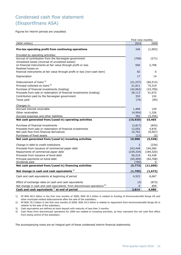# Condensed cash flow statement (Eksportfinans ASA)

Figures for interim periods are unaudited.

|                                                                                                                    | First nine months   |                     |
|--------------------------------------------------------------------------------------------------------------------|---------------------|---------------------|
| (NOK million)                                                                                                      | 2010                | 2009                |
| Pre-tax operating profit from continuing operations                                                                | 246                 | (1,903)             |
| Provided by operating activities:                                                                                  |                     |                     |
| Accrual of contribution from the Norwegian government<br>Unrealized losses (reversal of unrealized losses)         | (708)               | (271)               |
| on financial instruments at fair value through profit or loss<br>Realized losses on                                | 656                 | 2,708               |
| financial instruments at fair value through profit or loss [non-cash item]                                         | 82                  | 0                   |
| Depreciation                                                                                                       | 17                  | 14                  |
| Disbursement of loans <sup>1)</sup><br>Principal collected on loans <sup>2)</sup>                                  | (21, 237)<br>21,811 | (66, 514)<br>75,319 |
| Purchase of financial investments (trading)<br>Proceeds from sale or redemption of financial investments (trading) | (42,062)            | (33,709)            |
| Contribution paid by the Norwegian government                                                                      | 28,113<br>332       | 41,672<br>152       |
| Taxes paid                                                                                                         | (74)                | (94)                |
|                                                                                                                    |                     |                     |
| Changes in:<br>Accrued interest receivable                                                                         | 1,466               | 120                 |
| Other receivables                                                                                                  | (4, 954)            | 1,326               |
| Accrued expenses and other liabilities                                                                             | 392                 | (3, 355)            |
| Net cash generated from/(used in) operating activities                                                             | (15, 920)           | 15,465              |
|                                                                                                                    |                     |                     |
| Purchase of financial investments                                                                                  | (3,817)             | (842)               |
| Proceeds from sale or redemption of financial investments<br>Net cash flow from financial derivatives              | 13,055<br>10,762    | 4,876<br>(9, 567)   |
| Purchases of fixed assets                                                                                          | (12)                | (5)                 |
| Net cash generated from/(used in) investing activities                                                             | 19,988              | (5, 538)            |
|                                                                                                                    |                     |                     |
| Change in debt to credit institutions                                                                              | 3                   | (234)               |
| Proceeds from issuance of commercial paper debt                                                                    | 243,448             | 194,284             |
| Repayments of commercial paper debt                                                                                | (239, 334)          | (184, 320)          |
| Proceeds from issuance of bond debt                                                                                | 56,219              | 43,438              |
| Principal payments on bond debt                                                                                    | (65, 409)           | (64, 768)           |
| Dividends paid<br>Net cash generated from/(used in) financing activities                                           | (700)<br>(5, 773)   | 0<br>(11,600)       |
|                                                                                                                    |                     |                     |
| Net change in cash and cash equivalents <sup>3)</sup>                                                              | (1,705)             | (1, 673)            |
| Cash and cash equivalents at beginning of period                                                                   | 4,523               | 6,667               |
| Effect of exchange rates on cash and cash equivalents                                                              | (4)                 | (873)               |
| Net change in cash and cash equivalents from discontinued operations <sup>4)</sup>                                 | $\overline{0}$      | 859                 |
| Cash and cash equivalents <sup>3)</sup> at end of period                                                           | 2,814               | 4,980               |

1) Of NOK 66.5 billion in the first nine months of 2009, NOK 45.3 billion is related to funding of Kommunekreditt Norge AS and other municipal-related disbursements after the sale of the subsidiary.

2) Of NOK 75.3 billion in the first nine months of 2009, NOK 44.5 billion is related to repayment from Kommunekreditt Norge AS in relation to the sale of the subsidiary.

3) Cash equivalents are defined as bank deposit with maturity of less than 3 months.

4) Cash flows from discontinued operations for 2009 are related to investing activities, as they represent the net cash flow effect from losing control of the subsidiary.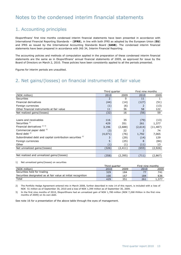# Notes to the condensed interim financial statements

## 1. Accounting principles

Eksportfinans' first nine months condensed interim financial statements have been presented in accordance with International Financial Reporting Standards – (**IFRS**), in line with both IFRS as adopted by the European Union (**EU**) and IFRS as issued by the International Accounting Standards Board (**IASB**). The condensed interim financial statements have been prepared in accordance with IAS 34, Interim Financial Reporting.

The accounting policies and methods of computation applied in the preparation of these condensed interim financial statements are the same as in Eksportfinans' annual financial statements of 2009, as approved for issue by the Board of Directors on March 2, 2010. These policies have been consistently applied to all the periods presented.

Figures for interim periods are unaudited.

## 2. Net gains/(losses) on financial instruments at fair value

|                                                          | Third quarter |          | First nine months |           |  |
|----------------------------------------------------------|---------------|----------|-------------------|-----------|--|
| (NOK million)                                            | 2010          | 2009     | 2010              | 2009      |  |
| Securities                                               | 2             | 0        | 11                | 1         |  |
| Financial derivatives                                    | (44)          | (14)     | (127)             | (51)      |  |
| Foreign currencies                                       | (1)           | (6)      | 2                 | (13)      |  |
| Other financial instruments at fair value                | 11            | 36       | 58                | 122       |  |
| Net realized gains/(losses)                              | (32)          | 16       | (56)              | 59        |  |
|                                                          |               |          |                   |           |  |
| Loans and receivables                                    | 116           | 35       | (79)              | (13)      |  |
| Securities <sup>1)</sup>                                 | 429           | 351      | 261               | 1,377     |  |
| Financial derivatives <sup>2) 3)</sup>                   | 3,196         | (2,688)  | (2,614)           | (11, 487) |  |
| Commercial paper debt 3)                                 | (3)           | 22       | 2                 | 74        |  |
| Bond debt $3)$                                           | (4,071)       | (76)     | 1,792             | 7,065     |  |
| Subordinated debt and capital contribution securities 3) | 3             | (29)     | (14)              | 129       |  |
| Foreign currencies                                       | 5             | (25)     | 8                 | (84)      |  |
| Other                                                    | (1)           | (1)      | (11)              | 13        |  |
| Net unrealized gains/(losses)                            | (326)         | (2, 411) | (655)             | (2,926)   |  |
|                                                          |               |          |                   |           |  |
| Net realized and unrealized gains/(losses)               | (358)         | (2, 395) | (711)             | (2,867)   |  |

#### 1) Net unrealized gains/(losses) on securities

|                                                               |      | Third quarter | First nine months |      |
|---------------------------------------------------------------|------|---------------|-------------------|------|
| (NOK million)                                                 | 2010 | 2009          | 2010              | 2009 |
| Securities held for trading                                   | 329  | 184           |                   | 741  |
| Securities designated as at fair value at initial recognition | 100  | 167           | 184               | 636  |
| Total                                                         | 429  | 35:           | 261               |      |

2) The Portfolio Hedge Agreement entered into in March 2008, further described in note 14 of this report, is included with a loss of NOK 51 million as of September 30, 2010 and a loss of NOK 1,399 million as of September 30, 2009.

3) In the first nine months of 2010, Eksportfinans had an unrealized gain of NOK 1,780 million (NOK 7,268 million in the first nine months of 2009) on its own debt.

See note 16 for a presentation of the above table through the eyes of management.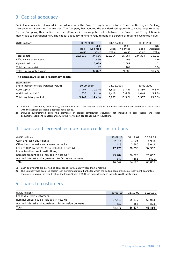# 3. Capital adequacy

Capital adequacy is calculated in accordance with the Basel II regulations in force from the Norwegian Banking, Insurance and Securities Commission. The Company has adopted the standardized approach to capital requirements. For the Company, this implies that the difference in risk-weighted value between the Basel I and II regulations is mainly due to operational risk. The capital adequacy minimum requirement is 8 percent of total risk-weighted value.

| (NOK million)             | 30.09.2010  |          | 31.12.2009 |          | 30.09.2009  |          |
|---------------------------|-------------|----------|------------|----------|-------------|----------|
|                           |             | Risk-    |            | Risk-    |             | Risk-    |
|                           | <b>Book</b> | weighted | Book       | weighted | <b>Book</b> | weighted |
|                           | value       | value    | value      | value    | value       | value    |
| Total assets              | 232,218     | 34,556   | 225,254    | 35,964   | 234,334     | 38,251   |
| Off-balance sheet items   |             | 490      |            | 465      |             | 446      |
| Operational risk          |             | 2,689    |            | 2,689    |             | 401      |
| Total currency risk       |             | 92       |            | 162      |             | 124      |
| Total risk-weighted value |             | 37,827   |            | 39,280   |             | 39,222   |

#### **The Company's eligible regulatory capital**

| (NOK million                           |            |        |            |          |            |         |
|----------------------------------------|------------|--------|------------|----------|------------|---------|
| and in percent of risk-weighted value) | 30.09.2010 |        | 31.12.2009 |          | 30.09.2009 |         |
| Core capital $1$                       | 3,907      | 10.3%  | 3,819      | $9.7\%$  | 3,859      | 9.8%    |
| Additional capital <sup>2)</sup>       | 1,535      | 4.1%   | 1,418      | $3.6 \%$ | 1.448      | $3.7\%$ |
| Total regulatory capital               | 5,442      | 14.4 % | 5,237      | 13.3 %   | 5,307      | 13.5 %  |

1) Includes share capital, other equity, elements of capital contribution securities and other deductions and additions in accordance with the Norwegian capital adequacy regulations.

2) Includes subordinated debt, the elements of capital contribution securities not included in core capital and other deductions/additions in accordance with the Norwegian capital adequacy regulations.

## 4. Loans and receivables due from credit institutions

| (NOK million)                                          | 30.09.10 | 31.12.09 | 30.09.09 |
|--------------------------------------------------------|----------|----------|----------|
| Cash and cash equivalents <sup>1)</sup>                | 2,814    | 4,524    | 4,980    |
| Other bank deposits and claims on banks                | 1,415    | 3,680    | 3,042    |
| Loan to KLP Kreditt AS (also included in note 6)       | 17,176   | 30,058   | 34,352   |
| Loans to other credit institutions,                    |          |          |          |
| nominal amount (also included in note 6) $2$           | 25,784   | 26,325   | 26,062   |
| Accrued interest and adjustment to fair value on loans | (547)    | (461)    | (401)    |
| Total                                                  | 46,642   | 64,126   | 68,035   |

1) Cash equivalents are defined as bank deposit with maturity less than 3 months.

2) The Company has acquired certain loan agreements from banks for which the selling bank provides a repayment guarantee, therefore retaining the credit risk of the loans. Under IFRS these loans classify as loans to credit institutions.

### 5. Loans to customers

| (NOK million)                                          | 30.09.10 | 31.12.09 | 30.09.09 |
|--------------------------------------------------------|----------|----------|----------|
| Loans due from customers,                              |          |          |          |
| nominal amount (also included in note 6)               | 77,619   | 65,819   | 63,063   |
| Accrued interest and adjustment to fair value on loans | 852      | 858      | 803      |
| Total                                                  | 78,471   | 66,677   | 63,866   |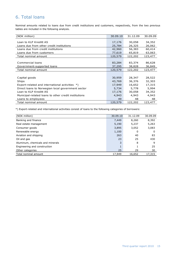## 6. Total loans

Nominal amounts related to loans due from credit institutions and customers, respectively, from the two previous tables are included in the following analysis.

| (NOK million)                                        | 30.09.10 | 31.12.09 | 30.09.09 |
|------------------------------------------------------|----------|----------|----------|
| Loan to KLP Kreditt AS                               | 17,176   | 30,058   | 34,352   |
| Loans due from other credit institutions             | 25,784   | 26,325   | 26,062   |
| Loans due from credit institutions                   | 42,960   | 56,383   | 60,414   |
| Loans due from customers                             | 77,619   | 65,819   | 63,063   |
| Total nominal amount                                 | 120,579  | 122,202  | 123,477  |
|                                                      |          |          |          |
| Commercial loans                                     | 83,284   | 83,374   | 86,628   |
| Government-supported loans                           | 37,295   | 38,828   | 36,849   |
| Total nominal amount                                 | 120,579  | 122,202  | 123,477  |
|                                                      |          |          |          |
| Capital goods                                        | 30,959   | 28,347   | 28,522   |
| Ships                                                | 43,769   | 36,376   | 32,303   |
| Export-related and international activities *)       | 17,949   | 16,652   | 17,315   |
| Direct loans to Norwegian local government sector    | 5,734    | 5,778    | 5,994    |
| Loan to KLP Kreditt AS                               | 17,176   | 30,058   | 34,352   |
| Municipal-related loans to other credit institutions | 4,943    | 4,943    | 4,943    |
| Loans to employees                                   | 49       | 48       | 48       |
| Total nominal amount                                 | 120,579  | 122,202  | 123,477  |

\*) Export-related and international activities consist of loans to the following categories of borrowers:

| (NOK million)                    | 30.09.10 | 31.12.09 | 30.09.09 |
|----------------------------------|----------|----------|----------|
| Banking and finance              | 7,449    | 8,260    | 8,392    |
| Real estate management           | 5,190    | 5,237    | 5,263    |
| Consumer goods                   | 3,895    | 3,052    | 3,083    |
| Renewable energy                 | 1,100    | 0        | 0        |
| Aviation and shipping            | 263      | 40       | 83       |
| Oil and gas                      | 23       | 25       | 430      |
| Aluminum, chemicals and minerals | 3        | 8        | 9        |
| Engineering and construction     |          |          | 25       |
| Other categories                 | 25       | 29       | 30       |
| Total nominal amount             | 17,949   | 16,652   | 17,315   |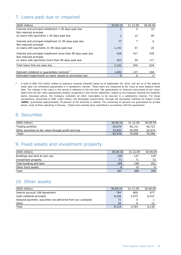# 7. Loans past due or impaired

| (NOK million)                                                                          | 30.09.10 | 31.12.09 | 30.09.09 |
|----------------------------------------------------------------------------------------|----------|----------|----------|
| Interest and principal installment 1-30 days past due                                  |          | 5        | 10       |
| Not matured principal                                                                  |          |          |          |
| on loans with payments 1-30 days past due                                              |          | 12       | 46       |
| Interest and principal installment 31-90 days past due<br>Not matured principal        | 77       | 7        | 6        |
| on loans with payments 31-90 days past due                                             | 1,142    | 47       | 20       |
| Interest and principal installment more than 90 days past due<br>Not matured principal | 428      | 417      | 435      |
| on loans with payments more than 90 days past due                                      | 453      | 58       | 117      |
| Total loans that are past due                                                          | 2,102    | 546      | 634      |
|                                                                                        |          |          |          |
| Relevant collateral or guarantees received *)                                          | 1,692    | 137      | 164      |
| Estimated impairments on loans valued at amortized cost                                | $\Omega$ | 0        | 0        |

 A total of NOK 410 million relates to exposure towards Icelandic banks as of September 30, 2010, and are as of the balance sheet date not considered guaranteed in a satisfactory manner. These loans are measured at fair value at each balance sheet date. The change in fair value in the period is reflected in the line item 'Net gains/losses on financial instruments at fair value' Apart from the fair value adjustments already recognized in the income statement, related to the exposure towards the Icelandic banks discussed above, the Company considers all other receivables to be secured in a satisfactory manner. For these transactions, amounting to NOK 1,692 million, the Norwegian Government, through the Guarantee Institute for Export Credit (**GIEK**), guarantees approximately 78 percent of the amounts in default. The remaining 22 percent are guaranteed by private banks, most of them operating in Norway. Claims have already been submitted in accordance with the guarantees.

#### 8. Securities

| (NOK million)                                          | 30.09.10 | 31.12.09 | 30.09.09 |
|--------------------------------------------------------|----------|----------|----------|
| Trading portfolio                                      | 59,074   | 46.131   | 46.722   |
| Other securities at fair value through profit and loss | 24,002   | 29.959   | 32,674   |
| Total                                                  | 83,076   | 76,090   | 79,396   |

## 9. Fixed assets and investment property

| (NOK million)                 | 30.09.10 | 31.12.09 | 30.09.09 |
|-------------------------------|----------|----------|----------|
| Buildings and land at own use | 128      | 127      | 129      |
| Investment property           | 71       | 71       |          |
| Total building and land       | 199      | 198      | 201      |
| Other fixed assets            |          | 10       |          |
| Total                         | 207      | 208      | 209      |

#### 10. Other assets

| (NOK million)                                                | 30.09.10 | 31.12.09 | 30.09.09 |
|--------------------------------------------------------------|----------|----------|----------|
| Interim account 108-Agreement                                | 794      | 800      | 677      |
| Cash collateral provided                                     | 8,228    | 2,975    | 8,437    |
| Delayed payment, securities not delivered from our custodian | 72       |          |          |
| Other                                                        | 20       |          | 15       |
| Total                                                        | 9.114    | 3,783    | 9,130    |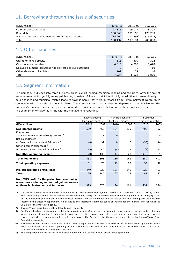## 11. Borrowings through the issue of securities

| (NOK million)                                         | 30.09.10 | 31.12.09 | 30.09.09  |
|-------------------------------------------------------|----------|----------|-----------|
| Commercial paper debt                                 | 23,376   | 19,074   | 38,303    |
| Bond debt                                             | 190,663  | 191.153  | 178,289   |
| Accrued interest and adjustment to fair value on debt | (15.907) | (12.593) | (16, 542) |
| Total                                                 | 198,132  | 197,634  | 200,050   |

## 12. Other liabilities

| (NOK million)                                              | 30.09.10 | 31.12.09 | 30.09.09 |
|------------------------------------------------------------|----------|----------|----------|
| Grants to mixed credits                                    | 315      | 309      | 322      |
| Cash collateral received                                   | 6,810    | 4,786    | 3,428    |
| Delayed payment, securities not delivered to our custodian |          |          | 10       |
| Other short-term liabilities                               | 109      | 29       | 46       |
| Total                                                      | 7.234    | 5.124    | 3,806    |

# 13. Segment information

The Company is divided into three business areas, export lending, municipal lending and securities. After the sale of Kommunekreditt Norge AS, municipal lending consists of loans to KLP Kreditt AS, in addition to loans directly to municipalities and municipal-related loans to savings banks that were purchased from Kommunekreditt Norge AS in connection with the sale of the subsidiary. The Company also has a treasury department, responsible for the Company's funding. Income and expenses related to treasury are divided between the three business areas. The segment information is in line with the management reporting.

|                                                                                          |                   | Municipal lending<br>Export lending |              | <b>Securities</b> |          |                   |
|------------------------------------------------------------------------------------------|-------------------|-------------------------------------|--------------|-------------------|----------|-------------------|
|                                                                                          | First nine months |                                     |              | First nine months |          | First nine months |
| (NOK million)                                                                            | 2010              | 2009                                | 2010         | $2009^{5}$        | 2010     | 2009              |
| Net interest income $1$                                                                  | 539               | 462                                 | 154          | 139               | 402      | 492               |
| Commissions                                                                              |                   |                                     |              |                   |          |                   |
| and income related to banking services $2$                                               | $\mathbf{1}$      | $\mathbf{1}$                        | $\Omega$     | $\Omega$          | $\Omega$ | $\Omega$          |
| Net gains/(losses)                                                                       |                   |                                     |              |                   |          |                   |
| on financial instruments at fair value 3)                                                | (0)               | 92                                  | $\mathbf{0}$ | 0                 | (35)     | (44)              |
| Other income/(expenses) $^{2)}$                                                          |                   |                                     |              |                   |          |                   |
| Income/expenses divided by volume <sup>4)</sup>                                          | (9)               | 40                                  | (4)          | 23                | (8)      | 45                |
| Net other operating income                                                               | (8)               | 133                                 | (4)          | 23                | (43)     | $\mathbf{1}$      |
| <b>Total net income</b>                                                                  | 531               | 595                                 | 150          | 162               | 359      | 493               |
| <b>Total operating expenses</b>                                                          | 81                | 73                                  | 19           | 22                | 39       | 40                |
|                                                                                          |                   |                                     |              |                   |          |                   |
| Pre-tax operating profit/(loss)                                                          | 449               | 522                                 | 131          | 140               | 320      | 453               |
| Taxes                                                                                    | 126               | 146                                 | 37           | 39                | 89       | 127               |
|                                                                                          |                   |                                     |              |                   |          |                   |
| Non-IFRS profit for the period from continuing                                           |                   |                                     |              |                   |          |                   |
| operations excluding unrealized gains/(losses)<br>on financial instruments at fair value | 323               | 376                                 | 94           | 101               | 231      | 326               |

1) Net interest income includes interest income directly attributable to the segments based on Eksportfinans' internal pricing model. The treasury department obtains interest on Eksportfinans' equity and in addition the positive or negative result (margin) based on the difference between the internal interest income from the segments and the actual external funding cost. Net interest income in the treasury department is allocated to the reportable segments based on volume for the margin, and risk weighted volume for the interest on equity.

2) Income/(expenses) directly attributable to each segment.

3) For Export lending the figures are related to unrealized gains/(losses) on the Icelandic bank exposure. In this context, the fair value adjustments on the Icelandic bank exposure have been treated as realized, as they are not expected to be reversed towards maturity, as other unrealized gains and losses. For Securities the figures are related to realized gains/(losses) on financial instruments.

4) Income/expenses, other than interest, in the treasury department have been allocated to the business areas by volume. These are items included in net other operating income in the income statement. For 2009 and 2010, this mainly consists of realized gains on repurchase of Eksportfinans' own debt.

5) The comparative figures related to municipal lending for 2009 do not include discontinued operations.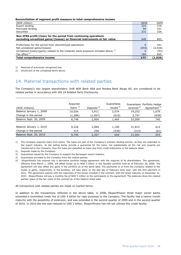#### **Reconciliation of segment profit measure to total comprehensive income**

| (NOK million)                                                                                                                                  | 2010     | 2009    |
|------------------------------------------------------------------------------------------------------------------------------------------------|----------|---------|
| Export lending                                                                                                                                 | 323      | 376     |
| Municipal lending                                                                                                                              | 94       | 101     |
| Securities                                                                                                                                     | 231      | 326     |
| Non-IFRS profit/(loss) for the period from continuing operations<br>excluding unrealized gains/(losses) on financial instruments at fair value | 648      | 803     |
|                                                                                                                                                |          |         |
| Profit/(loss) for the period from discontinued operations                                                                                      | $\Omega$ | 341     |
| Net unrealized gains/(losses)                                                                                                                  | (655)    | (2,926) |
| Unrealized losses/(gains) related to the Icelandic bank exposure included above $^{1}$                                                         |          | (92)    |
| Tax effect <sup>2)</sup>                                                                                                                       | 184      | 845     |
| Total comprehensive income                                                                                                                     | 177      | (1,029) |

1) Reversal of previously recognized loss.

2) 28 percent of the unrealized items above.

#### 14. Material transactions with related parties

The Company's two largest shareholders, DnB NOR Bank ASA and Nordea Bank Norge AS, are considered to be related parties in accordance with IAS 24 Related Party Disclosures.

| (NOK millions)          | Acquired<br>loans $1)$ | Deposits <sup>2)</sup> | Guarantees<br>issued $3)$ | received <sup>4)</sup> | Guarantees Portfolio Hedge<br>Agreement <sup>5)</sup> |
|-------------------------|------------------------|------------------------|---------------------------|------------------------|-------------------------------------------------------|
| Balance January 1, 2009 | 10,034                 | 3,911                  | 2,074                     | 19,252                 | 1,679                                                 |
| Change in the period    | (1,286)                | (1,007)                | (610)                     | 2,757                  | (939)                                                 |
| Balance Sept. 30, 2009  | 8,748                  | 2.904                  | 1,464                     | 22,009                 | 740                                                   |
| Balance January 1, 2010 | 9,226                  | 2,069                  | 1,190                     | 21,815                 | 614                                                   |
| Change in the period    | 514                    | 258                    | (536)                     | (314)                  | (61)                                                  |
| Balance Sept. 30, 2010  | 9,740                  | 2,327                  | 654                       | 21,501                 | 553                                                   |

1) The Company acquires loans from banks. The loans are part of the Company's ordinary lending activity, as they are extended to the export industry. As the selling banks provide a guarantee for the loans, not substantially all the risk and rewards are transferred to the Company, thus the loans are classified as loans due from credit institutions in the balance sheet.

- 2) Deposits made by the Company.
- 3) Guarantees issued by the Company to support the Norwegian export industry.
- 4) Guarantees provided to the Company from the related parties.
- 5) Eksportfinans has entered into a derivative portfolio hedge agreement with the majority of its shareholders. The agreement, effective from March 1, 2008, will offset losses up to NOK 5 billion in the liquidity portfolio held as of February 29, 2008. The agreement will also offset any gains in the portfolio as of the same date. The payments to or from the Company related to the losses or gains, respectively, in the portfolio, will take place on the last day of February each year, with the first payment in 2011. The agreement expires with the maturities of the bonds included in the contract, with the latest maturity on December 31, 2023. Eksportfinans will pay a monthly fee of NOK 5 million to the participants to the agreement. The balances show the related parties' share of the fair value of the contract as of the balance sheet date.

All transactions with related parties are made on market terms.

In addition to the transactions reflected in the above table, in 2008, Eksportfinans' three major owner banks extended a committed credit line of USD 4 billion for repo purposes to the Company. The facility had a twelve month maturity with the possibility of extension, and was extended in the second quarter of 2009 and in the second quarter of 2010. In 2010 the line was reduced to USD 2 billion. Eksportfinans has not yet utilized this credit facility.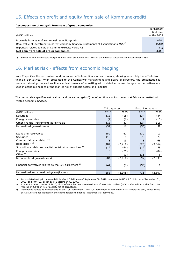## 15. Effects on profit and equity from sale of Kommunekreditt

#### **Decomposition of net gain from sale of group companies**

|                                                                                                   | Profit/(loss) |
|---------------------------------------------------------------------------------------------------|---------------|
|                                                                                                   | first nine    |
| (NOK million)                                                                                     | months 2009   |
|                                                                                                   |               |
| Proceeds from sale of Kommunekreditt Norge AS                                                     | 870           |
| Book value of investment in parent company financial statements of Eksportfinans ASA <sup>1</sup> | (518)         |
| Expenses related to sale of Kommunekreditt Norge AS                                               | (11)          |
| Net gain from sale of group companies                                                             | 341           |

1) Shares in Kommunekreditt Norge AS have been accounted for at cost in the financial statements of Eksportfinans ASA.

## 16. Market risk - effects from economic hedging

Note 2 specifies the net realized and unrealized effects on financial instruments, showing separately the effects from financial derivatives. When presented to the Company's management and Board of Directors, the presentation is prepared showing the various financial instruments after netting with related economic hedges, as derivatives are used in economic hedges of the market risk of specific assets and liabilities.

The below table specifies net realized and unrealized gains/(losses) on financial instruments at fair value, netted with related economic hedges.

|                                                                  | Third quarter |          | First nine months |         |
|------------------------------------------------------------------|---------------|----------|-------------------|---------|
| (NOK million)                                                    | 2010          | 2009     | 2010              | 2009    |
| Securities                                                       | (13)          | (15)     | (34)              | (44)    |
| Foreign currencies                                               | (1)           | (6)      | 2                 | (13)    |
| Other financial instruments at fair value                        | (18)          | 37       | (24)              | 116     |
| Net realized gains/(losses)                                      | (32)          | 16       | (56)              | 59      |
|                                                                  |               |          |                   |         |
| Loans and receivables                                            | 152           | 62       | (130)             | 10      |
| <b>Securities</b>                                                | (13)          | 9        | 70                | 73      |
| Commercial paper debt $^{1/2}$                                   | (3)           | 19       | 3                 | 68      |
| Bond debt $^{1/2}$                                               | (404)         | (2, 410) | (525)             | (3,064) |
| Subordinated debt and capital contribution securities 1) 2)      | (17)          | (64)     | (12)              | 58      |
| Foreign currencies                                               | 5             | (25)     | 8                 | (84)    |
| Other $1$ )                                                      | (4)           | (1)      | (11)              | 6       |
| Net unrealized gains/(losses)                                    | (284)         | (2, 410) | (597)             | (2,933) |
| Financial derivatives related to the 108 agreement <sup>3)</sup> | (42)          | (1)      | (58)              | 7       |
| Net realized and unrealized gains/(losses)                       | (358)         | (2, 395) | (711)             | (2,867) |

1) Accumulated net gain on own debt is NOK 1.3 billion as of September 30, 2010, compared to NOK 1.8 billion as of December 31, 2009, and NOK 2,7 billion as of September 30, 2009.

2) In the first nine months of 2010, Eksportfinans had an unrealized loss of NOK 534 million (NOK 2,938 million in the first nine months of 2009) on its own debt, net of derivatives.

3) Derivatives related to components of the 108 Agreement. The 108 Agreement is accounted for at amortized cost, hence these derivatives are not included in the effects related to financial instruments at fair value.